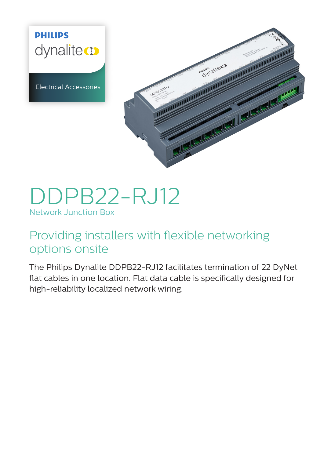**PHILIPS** dynalitecto

Electrical Accessories



# DDPB22-RJ12 Network Junction Box

# Providing installers with flexible networking options onsite

The Philips Dynalite DDPB22-RJ12 facilitates termination of 22 DyNet flat cables in one location. Flat data cable is specifically designed for high-reliability localized network wiring.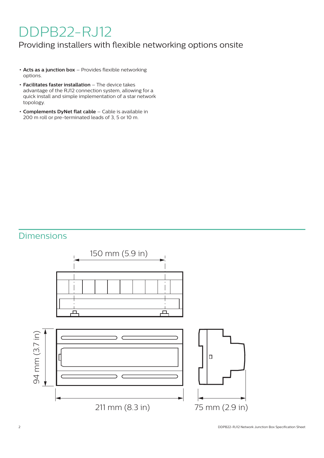# DDPB22-RJ12

### Providing installers with flexible networking options onsite

- **• Acts as a junction box** Provides flexible networking options.
- **• Facilitates faster installation** The device takes advantage of the RJ12 connection system, allowing for a quick install and simple implementation of a star network topology.
- **• Complements DyNet flat cable** Cable is available in 200 m roll or pre-terminated leads of 3, 5 or 10 m.

# Dimensions

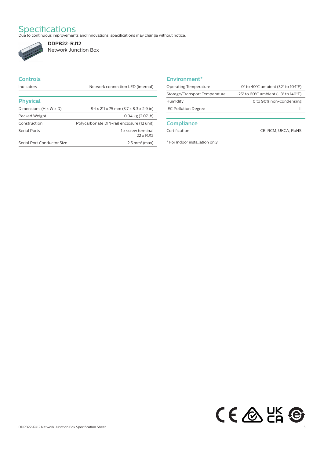Specifications<br>Due to continuous improvements and innovations, specifications may change without notice.



**DDPB22-RJ12** Network Junction Box

### **Controls**

Indicators **Network connection LED** (internal)

| <b>Physical</b>                    |                                                   |
|------------------------------------|---------------------------------------------------|
| Dimensions $(H \times W \times D)$ | $94 \times 211 \times 75$ mm (3.7 x 8.3 x 2.9 in) |
| Packed Weight                      | $0.94$ kg $(2.07$ lb)                             |
| Construction                       | Polycarbonate DIN-rail enclosure (12 unit)        |
| <b>Serial Ports</b>                | 1 x screw terminal<br>22 x RJ12                   |
| Serial Port Conductor Size         | $2.5$ mm <sup>2</sup> (max)                       |

#### **Environment\***

| Operating Temperature         | 0 $\degree$ to 40 $\degree$ C ambient (32 $\degree$ to 104 $\degree$ F)       |
|-------------------------------|-------------------------------------------------------------------------------|
| Storage/Transport Temperature | $-25^{\circ}$ to 60 $^{\circ}$ C ambient ( $-13^{\circ}$ to 140 $^{\circ}$ F) |
| Humidity                      | 0 to 90% non-condensing                                                       |
| <b>IEC Pollution Degree</b>   |                                                                               |
|                               |                                                                               |

#### **Compliance**

Certification CE, RCM, UKCA, RoHS

\* For indoor installation only